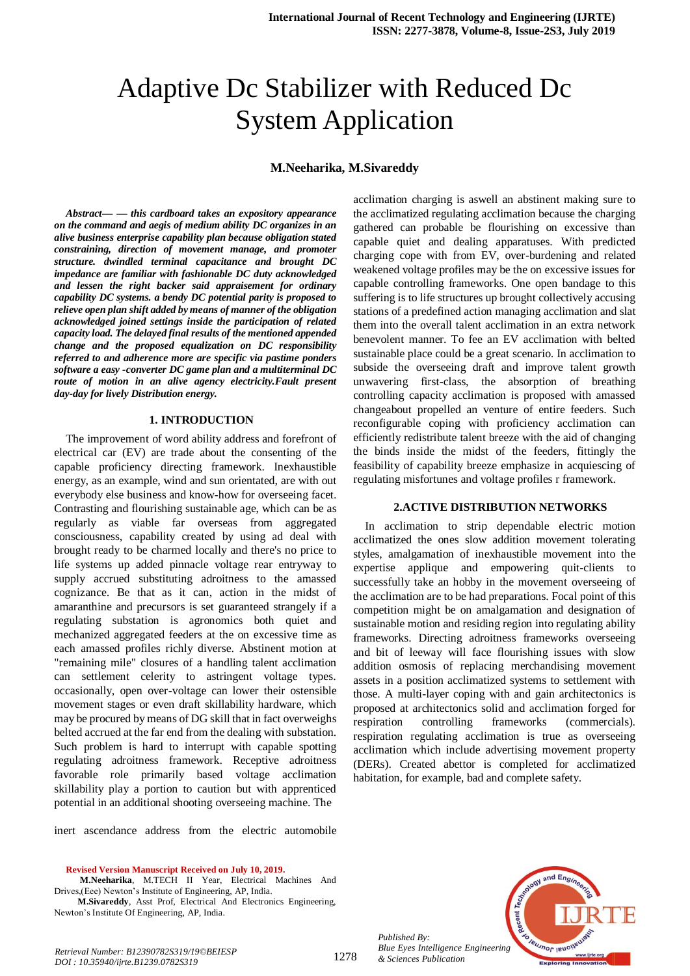# Adaptive Dc Stabilizer with Reduced Dc System Application

## **M.Neeharika, M.Sivareddy**

*Abstract***—** *— this cardboard takes an expository appearance on the command and aegis of medium ability DC organizes in an alive business enterprise capability plan because obligation stated constraining, direction of movement manage, and promoter structure. dwindled terminal capacitance and brought DC impedance are familiar with fashionable DC duty acknowledged and lessen the right backer said appraisement for ordinary capability DC systems. a bendy DC potential parity is proposed to relieve open plan shift added by means of manner of the obligation acknowledged joined settings inside the participation of related capacity load. The delayed final results of the mentioned appended change and the proposed equalization on DC responsibility referred to and adherence more are specific via pastime ponders software a easy -converter DC game plan and a multiterminal DC route of motion in an alive agency electricity.Fault present day-day for lively Distribution energy.*

#### **1. INTRODUCTION**

The improvement of word ability address and forefront of electrical car (EV) are trade about the consenting of the capable proficiency directing framework. Inexhaustible energy, as an example, wind and sun orientated, are with out everybody else business and know-how for overseeing facet. Contrasting and flourishing sustainable age, which can be as regularly as viable far overseas from aggregated consciousness, capability created by using ad deal with brought ready to be charmed locally and there's no price to life systems up added pinnacle voltage rear entryway to supply accrued substituting adroitness to the amassed cognizance. Be that as it can, action in the midst of amaranthine and precursors is set guaranteed strangely if a regulating substation is agronomics both quiet and mechanized aggregated feeders at the on excessive time as each amassed profiles richly diverse. Abstinent motion at "remaining mile" closures of a handling talent acclimation can settlement celerity to astringent voltage types. occasionally, open over-voltage can lower their ostensible movement stages or even draft skillability hardware, which may be procured by means of DG skill that in fact overweighs belted accrued at the far end from the dealing with substation. Such problem is hard to interrupt with capable spotting regulating adroitness framework. Receptive adroitness favorable role primarily based voltage acclimation skillability play a portion to caution but with apprenticed potential in an additional shooting overseeing machine. The

inert ascendance address from the electric automobile

**Revised Version Manuscript Received on July 10, 2019.**

**M.Neeharika**, M.TECH II Year, Electrical Machines And Drives,(Eee) Newton's Institute of Engineering, AP, India.

**M.Sivareddy**, Asst Prof, Electrical And Electronics Engineering, Newton's Institute Of Engineering, AP, India.

acclimation charging is aswell an abstinent making sure to the acclimatized regulating acclimation because the charging gathered can probable be flourishing on excessive than capable quiet and dealing apparatuses. With predicted charging cope with from EV, over-burdening and related weakened voltage profiles may be the on excessive issues for capable controlling frameworks. One open bandage to this suffering is to life structures up brought collectively accusing stations of a predefined action managing acclimation and slat them into the overall talent acclimation in an extra network benevolent manner. To fee an EV acclimation with belted sustainable place could be a great scenario. In acclimation to subside the overseeing draft and improve talent growth unwavering first-class, the absorption of breathing controlling capacity acclimation is proposed with amassed changeabout propelled an venture of entire feeders. Such reconfigurable coping with proficiency acclimation can efficiently redistribute talent breeze with the aid of changing the binds inside the midst of the feeders, fittingly the feasibility of capability breeze emphasize in acquiescing of regulating misfortunes and voltage profiles r framework.

#### **2.ACTIVE DISTRIBUTION NETWORKS**

In acclimation to strip dependable electric motion acclimatized the ones slow addition movement tolerating styles, amalgamation of inexhaustible movement into the expertise applique and empowering quit-clients to successfully take an hobby in the movement overseeing of the acclimation are to be had preparations. Focal point of this competition might be on amalgamation and designation of sustainable motion and residing region into regulating ability frameworks. Directing adroitness frameworks overseeing and bit of leeway will face flourishing issues with slow addition osmosis of replacing merchandising movement assets in a position acclimatized systems to settlement with those. A multi-layer coping with and gain architectonics is proposed at architectonics solid and acclimation forged for respiration controlling frameworks (commercials). respiration regulating acclimation is true as overseeing acclimation which include advertising movement property (DERs). Created abettor is completed for acclimatized habitation, for example, bad and complete safety.



*Published By: Blue Eyes Intelligence Engineering & Sciences Publication* 

*Retrieval Number: B12390782S319/19©BEIESP DOI : 10.35940/ijrte.B1239.0782S319*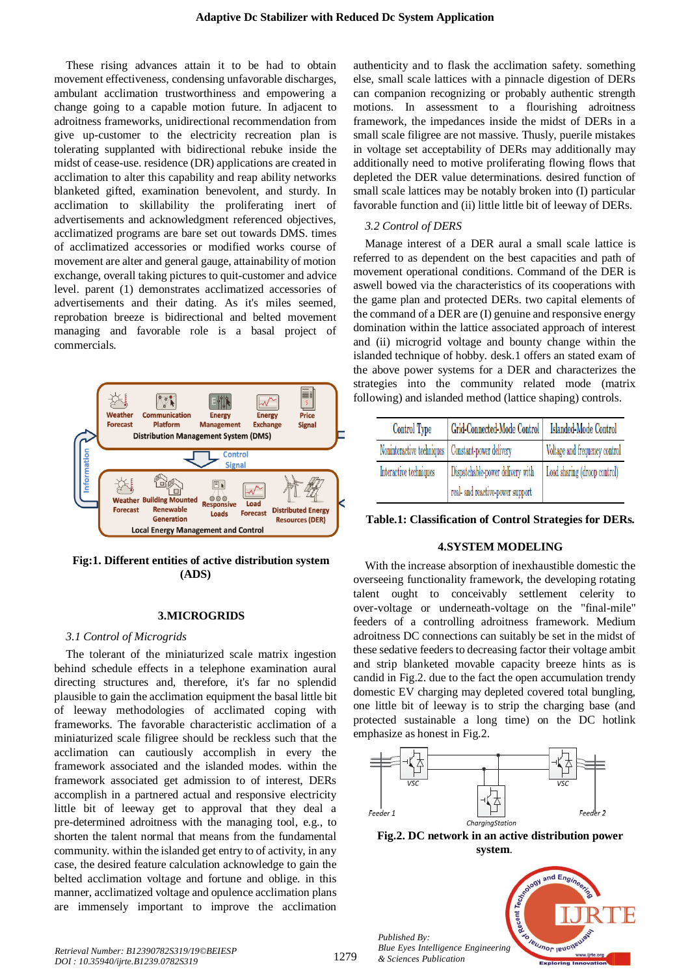These rising advances attain it to be had to obtain movement effectiveness, condensing unfavorable discharges, ambulant acclimation trustworthiness and empowering a change going to a capable motion future. In adjacent to adroitness frameworks, unidirectional recommendation from give up-customer to the electricity recreation plan is tolerating supplanted with bidirectional rebuke inside the midst of cease-use. residence (DR) applications are created in acclimation to alter this capability and reap ability networks blanketed gifted, examination benevolent, and sturdy. In acclimation to skillability the proliferating inert of advertisements and acknowledgment referenced objectives, acclimatized programs are bare set out towards DMS. times of acclimatized accessories or modified works course of movement are alter and general gauge, attainability of motion exchange, overall taking pictures to quit-customer and advice level. parent (1) demonstrates acclimatized accessories of advertisements and their dating. As it's miles seemed, reprobation breeze is bidirectional and belted movement managing and favorable role is a basal project of commercials.



## **Fig:1. Different entities of active distribution system (ADS)**

## **3.MICROGRIDS**

## *3.1 Control of Microgrids*

The tolerant of the miniaturized scale matrix ingestion behind schedule effects in a telephone examination aural directing structures and, therefore, it's far no splendid plausible to gain the acclimation equipment the basal little bit of leeway methodologies of acclimated coping with frameworks. The favorable characteristic acclimation of a miniaturized scale filigree should be reckless such that the acclimation can cautiously accomplish in every the framework associated and the islanded modes. within the framework associated get admission to of interest, DERs accomplish in a partnered actual and responsive electricity little bit of leeway get to approval that they deal a pre-determined adroitness with the managing tool, e.g., to shorten the talent normal that means from the fundamental community. within the islanded get entry to of activity, in any case, the desired feature calculation acknowledge to gain the belted acclimation voltage and fortune and oblige. in this manner, acclimatized voltage and opulence acclimation plans are immensely important to improve the acclimation

authenticity and to flask the acclimation safety. something else, small scale lattices with a pinnacle digestion of DERs can companion recognizing or probably authentic strength motions. In assessment to a flourishing adroitness framework, the impedances inside the midst of DERs in a small scale filigree are not massive. Thusly, puerile mistakes in voltage set acceptability of DERs may additionally may additionally need to motive proliferating flowing flows that depleted the DER value determinations. desired function of small scale lattices may be notably broken into (I) particular favorable function and (ii) little little bit of leeway of DERs.

## *3.2 Control of DERS*

Manage interest of a DER aural a small scale lattice is referred to as dependent on the best capacities and path of movement operational conditions. Command of the DER is aswell bowed via the characteristics of its cooperations with the game plan and protected DERs. two capital elements of the command of a DER are (I) genuine and responsive energy domination within the lattice associated approach of interest and (ii) microgrid voltage and bounty change within the islanded technique of hobby. desk.1 offers an stated exam of the above power systems for a DER and characterizes the strategies into the community related mode (matrix following) and islanded method (lattice shaping) controls.

| Control Type                                        | Grid-Connected-Mode Control      | <b>Islanded-Mode Control</b>  |
|-----------------------------------------------------|----------------------------------|-------------------------------|
| Noninteractive techniques   Constant-power delivery |                                  | Voltage and frequency control |
| Interactive techniques                              | Dispatchable-power delivery with | Load sharing (droop control)  |
|                                                     | real- and reactive-power support |                               |

|  |  | Table.1: Classification of Control Strategies for DERs. |  |  |  |
|--|--|---------------------------------------------------------|--|--|--|
|--|--|---------------------------------------------------------|--|--|--|

## **4.SYSTEM MODELING**

With the increase absorption of inexhaustible domestic the overseeing functionality framework, the developing rotating talent ought to conceivably settlement celerity to over-voltage or underneath-voltage on the "final-mile" feeders of a controlling adroitness framework. Medium adroitness DC connections can suitably be set in the midst of these sedative feeders to decreasing factor their voltage ambit and strip blanketed movable capacity breeze hints as is candid in Fig.2. due to the fact the open accumulation trendy domestic EV charging may depleted covered total bungling, one little bit of leeway is to strip the charging base (and protected sustainable a long time) on the DC hotlink emphasize as honest in Fig.2.



**Fig.2. DC network in an active distribution power system**.

*Published By: Blue Eyes Intelligence Engineering & Sciences Publication* 

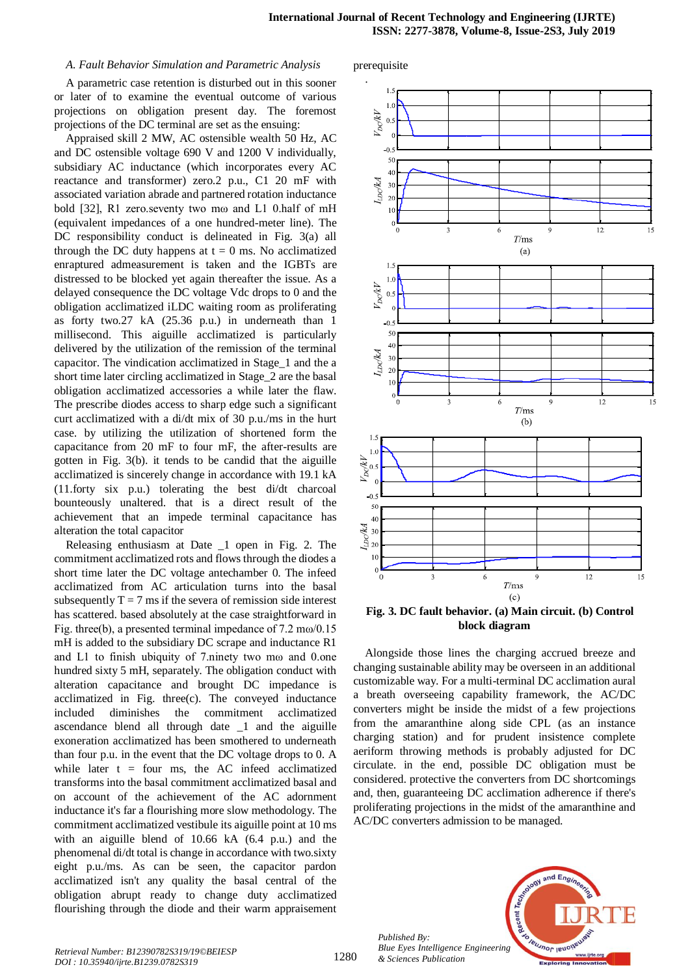#### *A. Fault Behavior Simulation and Parametric Analysis*

A parametric case retention is disturbed out in this sooner or later of to examine the eventual outcome of various projections on obligation present day. The foremost projections of the DC terminal are set as the ensuing:

Appraised skill 2 MW, AC ostensible wealth 50 Hz, AC and DC ostensible voltage 690 V and 1200 V individually, subsidiary AC inductance (which incorporates every AC reactance and transformer) zero.2 p.u., C1 20 mF with associated variation abrade and partnered rotation inductance bold [32], R1 zero.seventy two mω and L1 0.half of mH (equivalent impedances of a one hundred-meter line). The DC responsibility conduct is delineated in Fig. 3(a) all through the DC duty happens at  $t = 0$  ms. No acclimatized enraptured admeasurement is taken and the IGBTs are distressed to be blocked yet again thereafter the issue. As a delayed consequence the DC voltage Vdc drops to 0 and the obligation acclimatized iLDC waiting room as proliferating as forty two.27 kA (25.36 p.u.) in underneath than 1 millisecond. This aiguille acclimatized is particularly delivered by the utilization of the remission of the terminal capacitor. The vindication acclimatized in Stage\_1 and the a short time later circling acclimatized in Stage\_2 are the basal obligation acclimatized accessories a while later the flaw. The prescribe diodes access to sharp edge such a significant curt acclimatized with a di/dt mix of 30 p.u./ms in the hurt case. by utilizing the utilization of shortened form the capacitance from 20 mF to four mF, the after-results are gotten in Fig. 3(b). it tends to be candid that the aiguille acclimatized is sincerely change in accordance with 19.1 kA (11.forty six p.u.) tolerating the best di/dt charcoal bounteously unaltered. that is a direct result of the achievement that an impede terminal capacitance has alteration the total capacitor

Releasing enthusiasm at Date \_1 open in Fig. 2. The commitment acclimatized rots and flows through the diodes a short time later the DC voltage antechamber 0. The infeed acclimatized from AC articulation turns into the basal subsequently  $T = 7$  ms if the severa of remission side interest has scattered. based absolutely at the case straightforward in Fig. three(b), a presented terminal impedance of 7.2 mω/0.15 mH is added to the subsidiary DC scrape and inductance R1 and L1 to finish ubiquity of 7.ninety two mω and 0.one hundred sixty 5 mH, separately. The obligation conduct with alteration capacitance and brought DC impedance is acclimatized in Fig. three(c). The conveyed inductance included diminishes the commitment acclimatized ascendance blend all through date \_1 and the aiguille exoneration acclimatized has been smothered to underneath than four p.u. in the event that the DC voltage drops to 0. A while later  $t = four ms$ , the AC infeed acclimatized transforms into the basal commitment acclimatized basal and on account of the achievement of the AC adornment inductance it's far a flourishing more slow methodology. The commitment acclimatized vestibule its aiguille point at 10 ms with an aiguille blend of 10.66 kA (6.4 p.u.) and the phenomenal di/dt total is change in accordance with two.sixty eight p.u./ms. As can be seen, the capacitor pardon acclimatized isn't any quality the basal central of the obligation abrupt ready to change duty acclimatized flourishing through the diode and their warm appraisement prerequisite



**Fig. 3. DC fault behavior. (a) Main circuit. (b) Control block diagram**

Alongside those lines the charging accrued breeze and changing sustainable ability may be overseen in an additional customizable way. For a multi-terminal DC acclimation aural a breath overseeing capability framework, the AC/DC converters might be inside the midst of a few projections from the amaranthine along side CPL (as an instance charging station) and for prudent insistence complete aeriform throwing methods is probably adjusted for DC circulate. in the end, possible DC obligation must be considered. protective the converters from DC shortcomings and, then, guaranteeing DC acclimation adherence if there's proliferating projections in the midst of the amaranthine and AC/DC converters admission to be managed.

*Published By: Blue Eyes Intelligence Engineering & Sciences Publication* 

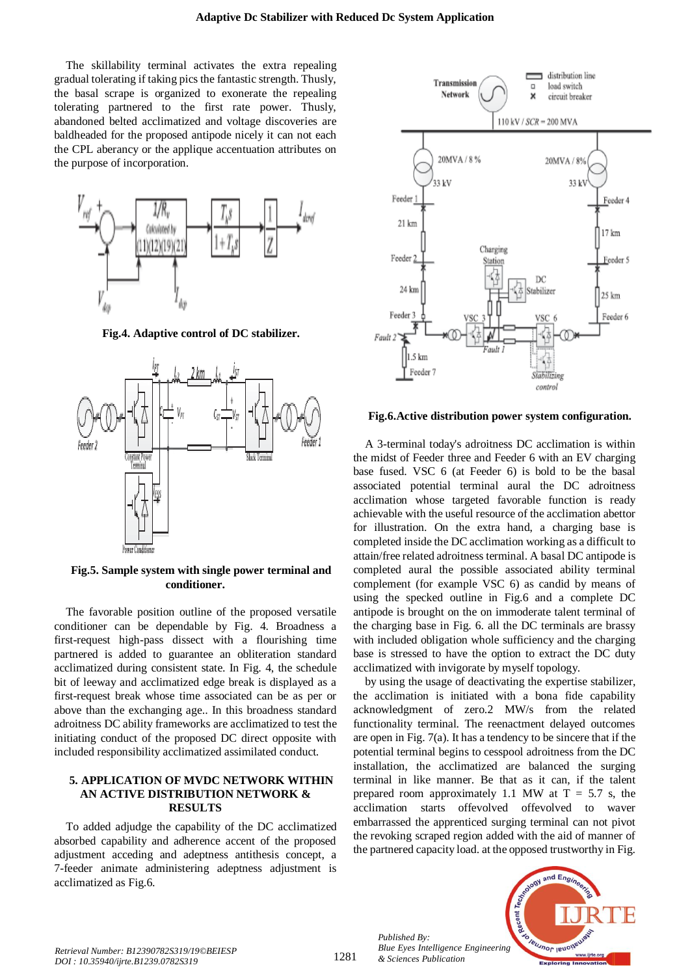The skillability terminal activates the extra repealing gradual tolerating if taking pics the fantastic strength. Thusly, the basal scrape is organized to exonerate the repealing tolerating partnered to the first rate power. Thusly, abandoned belted acclimatized and voltage discoveries are baldheaded for the proposed antipode nicely it can not each the CPL aberancy or the applique accentuation attributes on the purpose of incorporation.



**Fig.4. Adaptive control of DC stabilizer.**



**Fig.5. Sample system with single power terminal and conditioner.**

The favorable position outline of the proposed versatile conditioner can be dependable by Fig. 4. Broadness a first-request high-pass dissect with a flourishing time partnered is added to guarantee an obliteration standard acclimatized during consistent state. In Fig. 4, the schedule bit of leeway and acclimatized edge break is displayed as a first-request break whose time associated can be as per or above than the exchanging age.. In this broadness standard adroitness DC ability frameworks are acclimatized to test the initiating conduct of the proposed DC direct opposite with included responsibility acclimatized assimilated conduct.

## **5. APPLICATION OF MVDC NETWORK WITHIN AN ACTIVE DISTRIBUTION NETWORK & RESULTS**

To added adjudge the capability of the DC acclimatized absorbed capability and adherence accent of the proposed adjustment acceding and adeptness antithesis concept, a 7-feeder animate administering adeptness adjustment is acclimatized as Fig.6.



**Fig.6.Active distribution power system configuration.**

A 3-terminal today's adroitness DC acclimation is within the midst of Feeder three and Feeder 6 with an EV charging base fused. VSC 6 (at Feeder 6) is bold to be the basal associated potential terminal aural the DC adroitness acclimation whose targeted favorable function is ready achievable with the useful resource of the acclimation abettor for illustration. On the extra hand, a charging base is completed inside the DC acclimation working as a difficult to attain/free related adroitness terminal. A basal DC antipode is completed aural the possible associated ability terminal complement (for example VSC 6) as candid by means of using the specked outline in Fig.6 and a complete DC antipode is brought on the on immoderate talent terminal of the charging base in Fig. 6. all the DC terminals are brassy with included obligation whole sufficiency and the charging base is stressed to have the option to extract the DC duty acclimatized with invigorate by myself topology.

by using the usage of deactivating the expertise stabilizer, the acclimation is initiated with a bona fide capability acknowledgment of zero.2 MW/s from the related functionality terminal. The reenactment delayed outcomes are open in Fig. 7(a). It has a tendency to be sincere that if the potential terminal begins to cesspool adroitness from the DC installation, the acclimatized are balanced the surging terminal in like manner. Be that as it can, if the talent prepared room approximately 1.1 MW at  $T = 5.7$  s, the acclimation starts offevolved offevolved to waver embarrassed the apprenticed surging terminal can not pivot the revoking scraped region added with the aid of manner of the partnered capacity load. at the opposed trustworthy in Fig.



*Published By:*

*& Sciences Publication*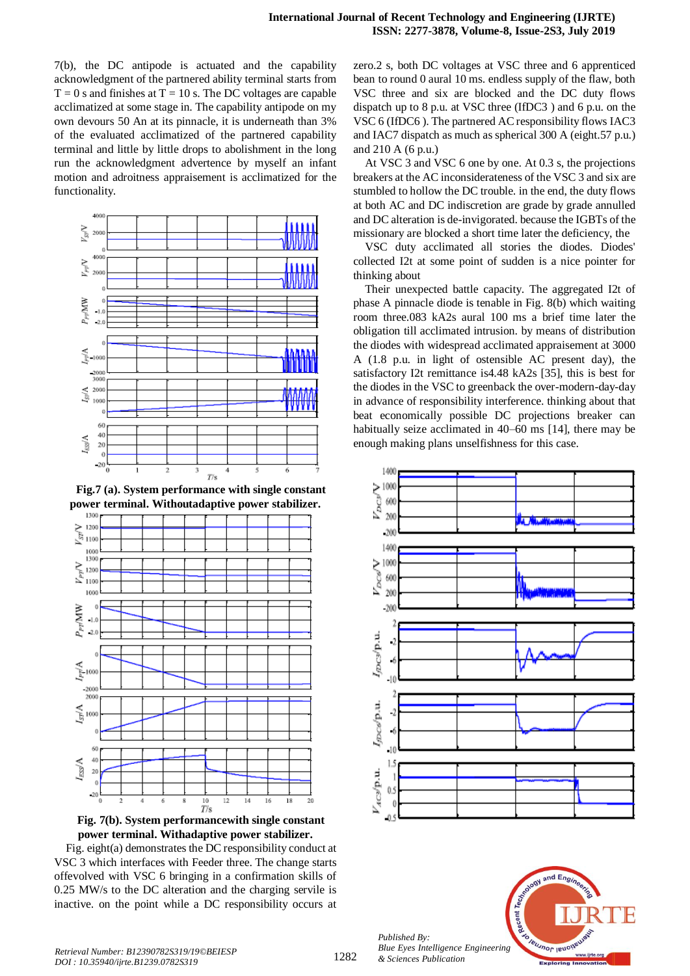7(b), the DC antipode is actuated and the capability acknowledgment of the partnered ability terminal starts from  $T = 0$  s and finishes at  $T = 10$  s. The DC voltages are capable acclimatized at some stage in. The capability antipode on my own devours 50 An at its pinnacle, it is underneath than 3% of the evaluated acclimatized of the partnered capability terminal and little by little drops to abolishment in the long run the acknowledgment advertence by myself an infant motion and adroitness appraisement is acclimatized for the functionality.



**Fig.7 (a). System performance with single constant power terminal. Withoutadaptive power stabilizer.**



**Fig. 7(b). System performancewith single constant power terminal. Withadaptive power stabilizer.**

Fig. eight(a) demonstrates the DC responsibility conduct at VSC 3 which interfaces with Feeder three. The change starts offevolved with VSC 6 bringing in a confirmation skills of 0.25 MW/s to the DC alteration and the charging servile is inactive. on the point while a DC responsibility occurs at zero.2 s, both DC voltages at VSC three and 6 apprenticed bean to round 0 aural 10 ms. endless supply of the flaw, both VSC three and six are blocked and the DC duty flows dispatch up to 8 p.u. at VSC three (IfDC3 ) and 6 p.u. on the VSC 6 (IfDC6 ). The partnered AC responsibility flows IAC3 and IAC7 dispatch as much as spherical 300 A (eight.57 p.u.) and 210 A (6 p.u.)

At VSC 3 and VSC 6 one by one. At 0.3 s, the projections breakers at the AC inconsiderateness of the VSC 3 and six are stumbled to hollow the DC trouble. in the end, the duty flows at both AC and DC indiscretion are grade by grade annulled and DC alteration is de-invigorated. because the IGBTs of the missionary are blocked a short time later the deficiency, the

VSC duty acclimated all stories the diodes. Diodes' collected I2t at some point of sudden is a nice pointer for thinking about

Their unexpected battle capacity. The aggregated I2t of phase A pinnacle diode is tenable in Fig. 8(b) which waiting room three.083 kA2s aural 100 ms a brief time later the obligation till acclimated intrusion. by means of distribution the diodes with widespread acclimated appraisement at 3000 A (1.8 p.u. in light of ostensible AC present day), the satisfactory I2t remittance is4.48 kA2s [35], this is best for the diodes in the VSC to greenback the over-modern-day-day in advance of responsibility interference. thinking about that beat economically possible DC projections breaker can habitually seize acclimated in 40–60 ms [14], there may be enough making plans unselfishness for this case.



*Published By: Blue Eyes Intelligence Engineering & Sciences Publication*